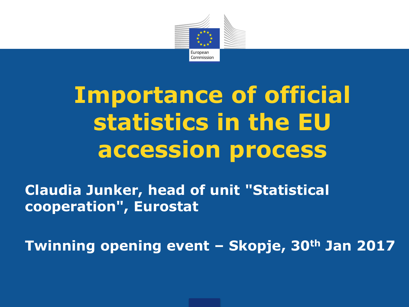

# **Importance of official statistics in the EU accession process**

**Claudia Junker, head of unit "Statistical cooperation", Eurostat**

**Twinning opening event – Skopje, 30th Jan 2017**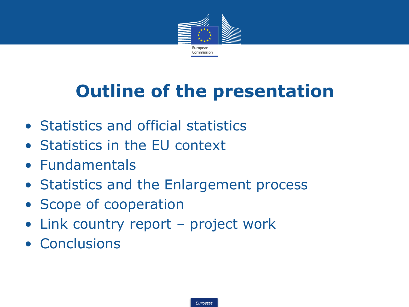

## **Outline of the presentation**

- Statistics and official statistics
- Statistics in the EU context
- Fundamentals
- Statistics and the Enlargement process
- Scope of cooperation
- Link country report project work
- Conclusions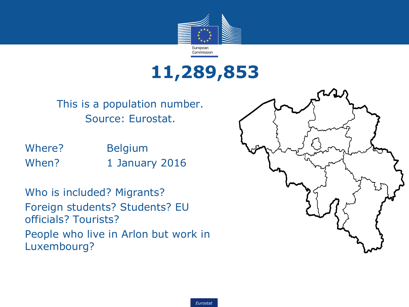

### **11,289,853**

This is a population number. Source: Eurostat.

Where? Belgium When? 1 January 2016

Who is included? Migrants? Foreign students? Students? EU officials? Tourists? People who live in Arlon but work in Luxembourg?

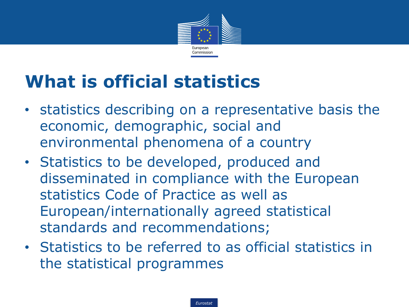

## **What is official statistics**

- statistics describing on a representative basis the economic, demographic, social and environmental phenomena of a country
- Statistics to be developed, produced and disseminated in compliance with the European statistics Code of Practice as well as European/internationally agreed statistical standards and recommendations;
- Statistics to be referred to as official statistics in the statistical programmes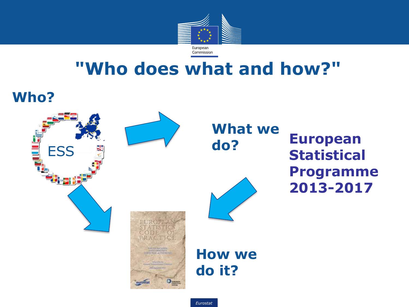

### **"Who does what and how?"**





**European Statistical Programme 2013-2017** 

*Eurostat*

**do it?**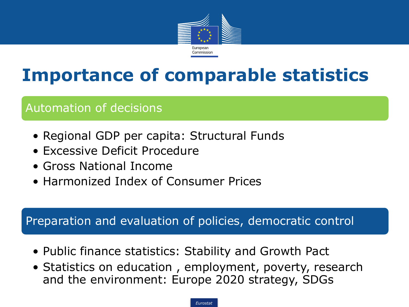

## **Importance of comparable statistics**

### Automation of decisions

- Regional GDP per capita: Structural Funds
- Excessive Deficit Procedure
- Gross National Income
- Harmonized Index of Consumer Prices

#### Preparation and evaluation of policies, democratic control

- Public finance statistics: Stability and Growth Pact
- Statistics on education , employment, poverty, research and the environment: Europe 2020 strategy, SDGs

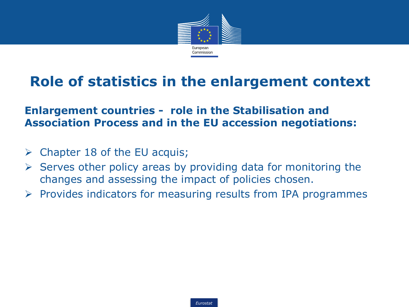

### **Role of statistics in the enlargement context**

#### **Enlargement countries - role in the Stabilisation and Association Process and in the EU accession negotiations:**

- $\triangleright$  Chapter 18 of the EU acquis;
- $\triangleright$  Serves other policy areas by providing data for monitoring the changes and assessing the impact of policies chosen.
- $\triangleright$  Provides indicators for measuring results from IPA programmes

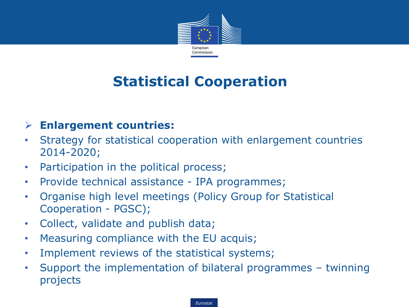

### **Statistical Cooperation**

#### **Enlargement countries:**

- Strategy for statistical cooperation with enlargement countries 2014-2020;
- Participation in the political process;
- Provide technical assistance IPA programmes;
- Organise high level meetings (Policy Group for Statistical Cooperation - PGSC);
- Collect, validate and publish data;
- Measuring compliance with the EU acquis;
- Implement reviews of the statistical systems;
- Support the implementation of bilateral programmes twinning projects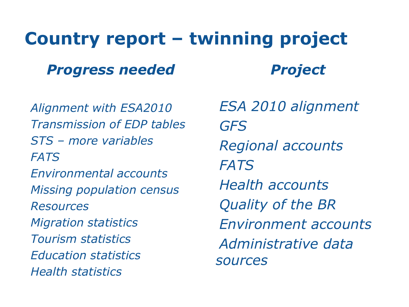## **Country report – twinning project**

### *Progress needed*

•*Alignment with ESA2010* •*Transmission of EDP tables* •*STS – more variables* •*FATS* •*Environmental accounts* •*Missing population census* •*Resources* •*Migration statistics* •*Tourism statistics* •*Education statistics* •*Health statistics*

•*ESA 2010 alignment* •*GFS* •*Regional accounts* •*FATS* •*Health accounts* •*Quality of the BR* •*Environment accounts* •*Administrative data sources*

*Project*